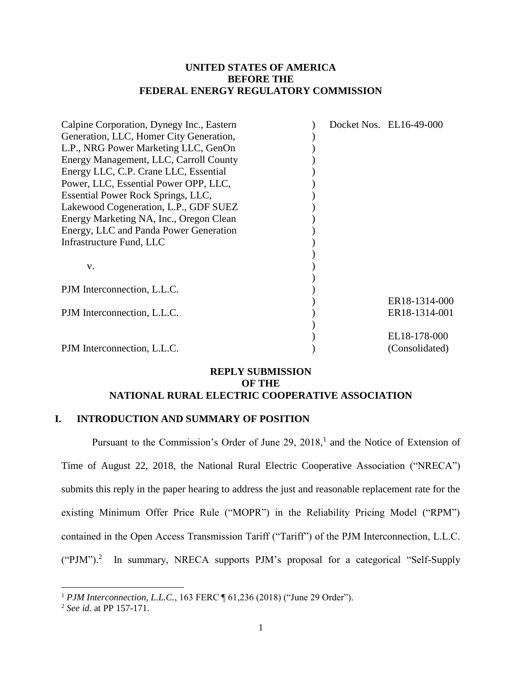### **UNITED STATES OF AMERICA BEFORE THE FEDERAL ENERGY REGULATORY COMMISSION**

| Calpine Corporation, Dynegy Inc., Eastern |  | Docket Nos. EL16-49-000 |
|-------------------------------------------|--|-------------------------|
| Generation, LLC, Homer City Generation,   |  |                         |
| L.P., NRG Power Marketing LLC, GenOn      |  |                         |
| Energy Management, LLC, Carroll County    |  |                         |
| Energy LLC, C.P. Crane LLC, Essential     |  |                         |
| Power, LLC, Essential Power OPP, LLC,     |  |                         |
| Essential Power Rock Springs, LLC,        |  |                         |
| Lakewood Cogeneration, L.P., GDF SUEZ     |  |                         |
| Energy Marketing NA, Inc., Oregon Clean   |  |                         |
| Energy, LLC and Panda Power Generation    |  |                         |
| Infrastructure Fund, LLC                  |  |                         |
|                                           |  |                         |
| V.                                        |  |                         |
|                                           |  |                         |
| PJM Interconnection, L.L.C.               |  |                         |
|                                           |  | ER18-1314-000           |
| PJM Interconnection, L.L.C.               |  | ER18-1314-001           |
|                                           |  |                         |
|                                           |  | EL18-178-000            |
| PJM Interconnection, L.L.C.               |  | (Consolidated)          |
|                                           |  |                         |

#### **REPLY SUBMISSION OF THE NATIONAL RURAL ELECTRIC COOPERATIVE ASSOCIATION**

# **I. INTRODUCTION AND SUMMARY OF POSITION**

Pursuant to the Commission's Order of June 29, 2018,<sup>1</sup> and the Notice of Extension of Time of August 22, 2018, the National Rural Electric Cooperative Association ("NRECA") submits this reply in the paper hearing to address the just and reasonable replacement rate for the existing Minimum Offer Price Rule ("MOPR") in the Reliability Pricing Model ("RPM") contained in the Open Access Transmission Tariff ("Tariff") of the PJM Interconnection, L.L.C.  $("PJM")$ .<sup>2</sup> In summary, NRECA supports PJM's proposal for a categorical "Self-Supply

 $\overline{a}$ 

<sup>&</sup>lt;sup>1</sup> *PJM Interconnection, L.L.C.*, 163 FERC ¶ 61,236 (2018) ("June 29 Order").

<sup>2</sup> *See id.* at PP 157-171.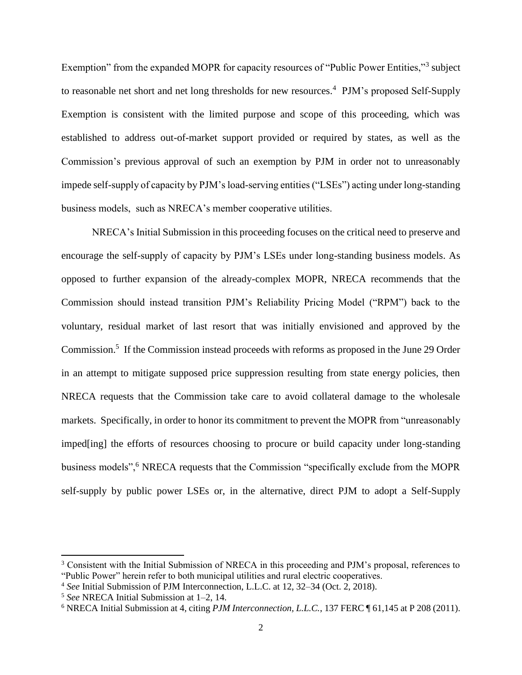Exemption" from the expanded MOPR for capacity resources of "Public Power Entities,"<sup>3</sup> subject to reasonable net short and net long thresholds for new resources.<sup>4</sup> PJM's proposed Self-Supply Exemption is consistent with the limited purpose and scope of this proceeding, which was established to address out-of-market support provided or required by states, as well as the Commission's previous approval of such an exemption by PJM in order not to unreasonably impede self-supply of capacity by PJM's load-serving entities ("LSEs") acting under long-standing business models, such as NRECA's member cooperative utilities.

NRECA's Initial Submission in this proceeding focuses on the critical need to preserve and encourage the self-supply of capacity by PJM's LSEs under long-standing business models. As opposed to further expansion of the already-complex MOPR, NRECA recommends that the Commission should instead transition PJM's Reliability Pricing Model ("RPM") back to the voluntary, residual market of last resort that was initially envisioned and approved by the Commission.<sup>5</sup> If the Commission instead proceeds with reforms as proposed in the June 29 Order in an attempt to mitigate supposed price suppression resulting from state energy policies, then NRECA requests that the Commission take care to avoid collateral damage to the wholesale markets. Specifically, in order to honor its commitment to prevent the MOPR from "unreasonably imped[ing] the efforts of resources choosing to procure or build capacity under long-standing business models",<sup>6</sup> NRECA requests that the Commission "specifically exclude from the MOPR self-supply by public power LSEs or, in the alternative, direct PJM to adopt a Self-Supply

<sup>3</sup> Consistent with the Initial Submission of NRECA in this proceeding and PJM's proposal, references to "Public Power" herein refer to both municipal utilities and rural electric cooperatives.

<sup>4</sup> *See* Initial Submission of PJM Interconnection, L.L.C. at 12, 32–34 (Oct. 2, 2018).

<sup>5</sup> *See* NRECA Initial Submission at 1–2, 14.

<sup>6</sup> NRECA Initial Submission at 4, citing *PJM Interconnection, L.L.C.*, 137 FERC ¶ 61,145 at P 208 (2011).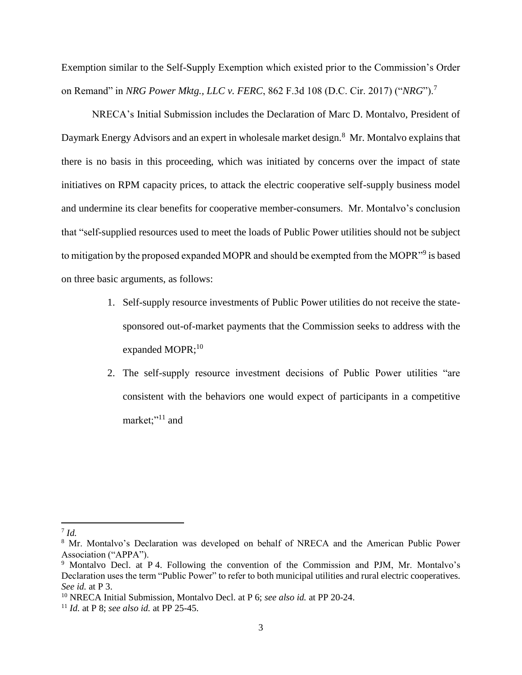Exemption similar to the Self-Supply Exemption which existed prior to the Commission's Order on Remand" in *NRG Power Mktg., LLC v. FERC*, 862 F.3d 108 (D.C. Cir. 2017) ("*NRG*").<sup>7</sup>

NRECA's Initial Submission includes the Declaration of Marc D. Montalvo, President of Daymark Energy Advisors and an expert in wholesale market design.<sup>8</sup> Mr. Montalvo explains that there is no basis in this proceeding, which was initiated by concerns over the impact of state initiatives on RPM capacity prices, to attack the electric cooperative self-supply business model and undermine its clear benefits for cooperative member-consumers. Mr. Montalvo's conclusion that "self-supplied resources used to meet the loads of Public Power utilities should not be subject to mitigation by the proposed expanded MOPR and should be exempted from the MOPR"<sup>9</sup> is based on three basic arguments, as follows:

- 1. Self-supply resource investments of Public Power utilities do not receive the statesponsored out-of-market payments that the Commission seeks to address with the expanded MOPR;<sup>10</sup>
- 2. The self-supply resource investment decisions of Public Power utilities "are consistent with the behaviors one would expect of participants in a competitive market;"<sup>11</sup> and

<sup>7</sup> *Id.*

<sup>&</sup>lt;sup>8</sup> Mr. Montalvo's Declaration was developed on behalf of NRECA and the American Public Power Association ("APPA").

<sup>9</sup> Montalvo Decl. at P 4. Following the convention of the Commission and PJM, Mr. Montalvo's Declaration uses the term "Public Power" to refer to both municipal utilities and rural electric cooperatives. *See id.* at P 3.

<sup>10</sup> NRECA Initial Submission, Montalvo Decl. at P 6; *see also id.* at PP 20-24.

<sup>11</sup> *Id.* at P 8; *see also id.* at PP 25-45.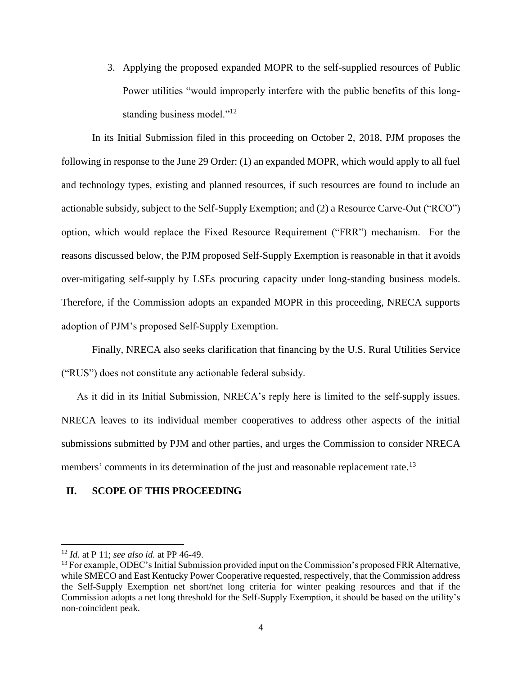3. Applying the proposed expanded MOPR to the self-supplied resources of Public Power utilities "would improperly interfere with the public benefits of this longstanding business model."<sup>12</sup>

In its Initial Submission filed in this proceeding on October 2, 2018, PJM proposes the following in response to the June 29 Order: (1) an expanded MOPR, which would apply to all fuel and technology types, existing and planned resources, if such resources are found to include an actionable subsidy, subject to the Self-Supply Exemption; and (2) a Resource Carve-Out ("RCO") option, which would replace the Fixed Resource Requirement ("FRR") mechanism. For the reasons discussed below, the PJM proposed Self-Supply Exemption is reasonable in that it avoids over-mitigating self-supply by LSEs procuring capacity under long-standing business models. Therefore, if the Commission adopts an expanded MOPR in this proceeding, NRECA supports adoption of PJM's proposed Self-Supply Exemption.

Finally, NRECA also seeks clarification that financing by the U.S. Rural Utilities Service ("RUS") does not constitute any actionable federal subsidy.

As it did in its Initial Submission, NRECA's reply here is limited to the self-supply issues. NRECA leaves to its individual member cooperatives to address other aspects of the initial submissions submitted by PJM and other parties, and urges the Commission to consider NRECA members' comments in its determination of the just and reasonable replacement rate.<sup>13</sup>

#### **II. SCOPE OF THIS PROCEEDING**

l

<sup>12</sup> *Id.* at P 11; *see also id.* at PP 46-49.

<sup>&</sup>lt;sup>13</sup> For example, ODEC's Initial Submission provided input on the Commission's proposed FRR Alternative, while SMECO and East Kentucky Power Cooperative requested, respectively, that the Commission address the Self-Supply Exemption net short/net long criteria for winter peaking resources and that if the Commission adopts a net long threshold for the Self-Supply Exemption, it should be based on the utility's non-coincident peak.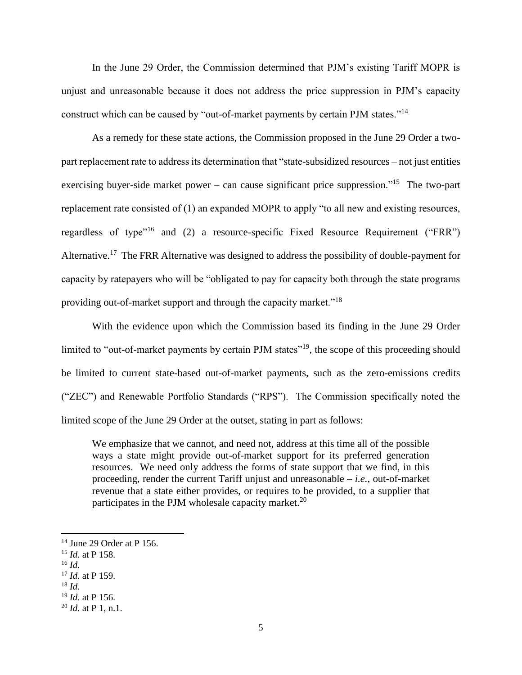In the June 29 Order, the Commission determined that PJM's existing Tariff MOPR is unjust and unreasonable because it does not address the price suppression in PJM's capacity construct which can be caused by "out-of-market payments by certain PJM states."<sup>14</sup>

As a remedy for these state actions, the Commission proposed in the June 29 Order a twopart replacement rate to address its determination that "state-subsidized resources – not just entities exercising buyer-side market power – can cause significant price suppression."<sup>15</sup> The two-part replacement rate consisted of (1) an expanded MOPR to apply "to all new and existing resources, regardless of type"<sup>16</sup> and (2) a resource-specific Fixed Resource Requirement ("FRR") Alternative.<sup>17</sup> The FRR Alternative was designed to address the possibility of double-payment for capacity by ratepayers who will be "obligated to pay for capacity both through the state programs providing out-of-market support and through the capacity market."<sup>18</sup>

With the evidence upon which the Commission based its finding in the June 29 Order limited to "out-of-market payments by certain PJM states"<sup>19</sup>, the scope of this proceeding should be limited to current state-based out-of-market payments, such as the zero-emissions credits ("ZEC") and Renewable Portfolio Standards ("RPS"). The Commission specifically noted the limited scope of the June 29 Order at the outset, stating in part as follows:

We emphasize that we cannot, and need not, address at this time all of the possible ways a state might provide out-of-market support for its preferred generation resources. We need only address the forms of state support that we find, in this proceeding, render the current Tariff unjust and unreasonable – *i.e.*, out-of-market revenue that a state either provides, or requires to be provided, to a supplier that participates in the PJM wholesale capacity market.<sup>20</sup>

 $14$  June 29 Order at P 156.

<sup>15</sup> *Id.* at P 158.

<sup>16</sup> *Id.*

<sup>17</sup> *Id.* at P 159.

<sup>18</sup> *Id.*

<sup>19</sup> *Id.* at P 156.

<sup>20</sup> *Id.* at P 1, n.1.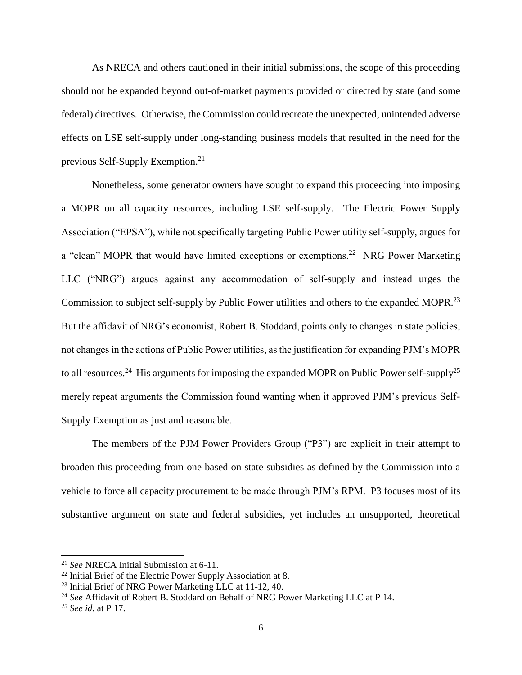As NRECA and others cautioned in their initial submissions, the scope of this proceeding should not be expanded beyond out-of-market payments provided or directed by state (and some federal) directives. Otherwise, the Commission could recreate the unexpected, unintended adverse effects on LSE self-supply under long-standing business models that resulted in the need for the previous Self-Supply Exemption.<sup>21</sup>

Nonetheless, some generator owners have sought to expand this proceeding into imposing a MOPR on all capacity resources, including LSE self-supply. The Electric Power Supply Association ("EPSA"), while not specifically targeting Public Power utility self-supply, argues for a "clean" MOPR that would have limited exceptions or exemptions.<sup>22</sup> NRG Power Marketing LLC ("NRG") argues against any accommodation of self-supply and instead urges the Commission to subject self-supply by Public Power utilities and others to the expanded MOPR.<sup>23</sup> But the affidavit of NRG's economist, Robert B. Stoddard, points only to changes in state policies, not changes in the actions of Public Power utilities, as the justification for expanding PJM's MOPR to all resources.<sup>24</sup> His arguments for imposing the expanded MOPR on Public Power self-supply<sup>25</sup> merely repeat arguments the Commission found wanting when it approved PJM's previous Self-Supply Exemption as just and reasonable.

The members of the PJM Power Providers Group ("P3") are explicit in their attempt to broaden this proceeding from one based on state subsidies as defined by the Commission into a vehicle to force all capacity procurement to be made through PJM's RPM. P3 focuses most of its substantive argument on state and federal subsidies, yet includes an unsupported, theoretical

<sup>21</sup> *See* NRECA Initial Submission at 6-11.

 $22$  Initial Brief of the Electric Power Supply Association at 8.

<sup>23</sup> Initial Brief of NRG Power Marketing LLC at 11-12, 40.

<sup>24</sup> *See* Affidavit of Robert B. Stoddard on Behalf of NRG Power Marketing LLC at P 14.

<sup>25</sup> *See id.* at P 17.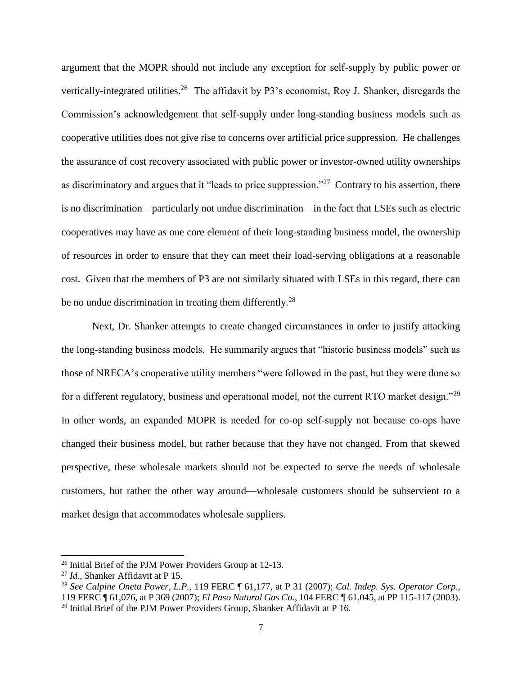argument that the MOPR should not include any exception for self-supply by public power or vertically-integrated utilities.<sup>26</sup> The affidavit by P3's economist, Roy J. Shanker, disregards the Commission's acknowledgement that self-supply under long-standing business models such as cooperative utilities does not give rise to concerns over artificial price suppression. He challenges the assurance of cost recovery associated with public power or investor-owned utility ownerships as discriminatory and argues that it "leads to price suppression."<sup>27</sup> Contrary to his assertion, there is no discrimination – particularly not undue discrimination – in the fact that LSEs such as electric cooperatives may have as one core element of their long-standing business model, the ownership of resources in order to ensure that they can meet their load-serving obligations at a reasonable cost. Given that the members of P3 are not similarly situated with LSEs in this regard, there can be no undue discrimination in treating them differently.<sup>28</sup>

Next, Dr. Shanker attempts to create changed circumstances in order to justify attacking the long-standing business models. He summarily argues that "historic business models" such as those of NRECA's cooperative utility members "were followed in the past, but they were done so for a different regulatory, business and operational model, not the current RTO market design."<sup>29</sup> In other words, an expanded MOPR is needed for co-op self-supply not because co-ops have changed their business model, but rather because that they have not changed. From that skewed perspective, these wholesale markets should not be expected to serve the needs of wholesale customers, but rather the other way around—wholesale customers should be subservient to a market design that accommodates wholesale suppliers.

<sup>26</sup> Initial Brief of the PJM Power Providers Group at 12-13.

<sup>27</sup> *Id.*, Shanker Affidavit at P 15.

<sup>28</sup> *See Calpine Oneta Power, L.P.,* 119 FERC ¶ 61,177, at P 31 (2007); *Cal. Indep. Sys. Operator Corp.*, 119 FERC ¶ 61,076, at P 369 (2007); *El Paso Natural Gas Co.*, 104 FERC ¶ 61,045, at PP 115-117 (2003).  $29$  Initial Brief of the PJM Power Providers Group, Shanker Affidavit at P 16.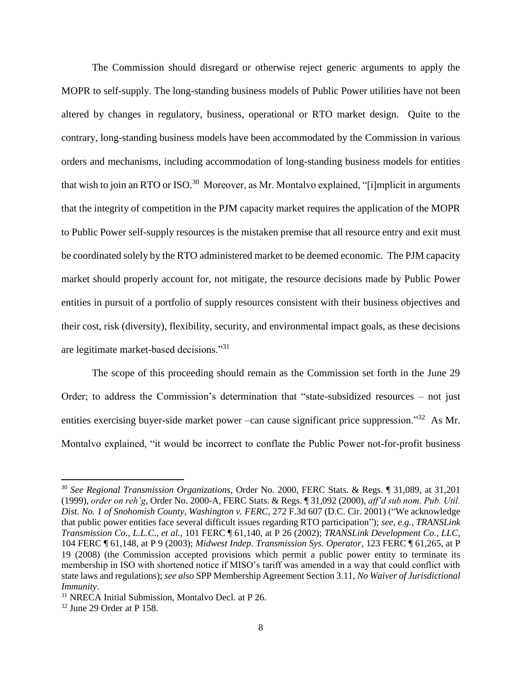The Commission should disregard or otherwise reject generic arguments to apply the MOPR to self-supply. The long-standing business models of Public Power utilities have not been altered by changes in regulatory, business, operational or RTO market design. Quite to the contrary, long-standing business models have been accommodated by the Commission in various orders and mechanisms, including accommodation of long-standing business models for entities that wish to join an RTO or ISO.<sup>30</sup> Moreover, as Mr. Montalvo explained, "[i]mplicit in arguments that the integrity of competition in the PJM capacity market requires the application of the MOPR to Public Power self-supply resources is the mistaken premise that all resource entry and exit must be coordinated solely by the RTO administered market to be deemed economic. The PJM capacity market should properly account for, not mitigate, the resource decisions made by Public Power entities in pursuit of a portfolio of supply resources consistent with their business objectives and their cost, risk (diversity), flexibility, security, and environmental impact goals, as these decisions are legitimate market-based decisions."<sup>31</sup>

The scope of this proceeding should remain as the Commission set forth in the June 29 Order; to address the Commission's determination that "state-subsidized resources – not just entities exercising buyer-side market power –can cause significant price suppression."<sup>32</sup> As Mr. Montalvo explained, "it would be incorrect to conflate the Public Power not-for-profit business

<sup>30</sup> *See Regional Transmission Organizations*, Order No. 2000, FERC Stats. & Regs. ¶ 31,089, at 31,201 (1999), *order on reh'g*, Order No. 2000-A, FERC Stats. & Regs. ¶ 31,092 (2000), *aff'd sub nom. Pub. Util. Dist. No. 1 of Snohomish County, Washington v. FERC*, 272 F.3d 607 (D.C. Cir. 2001) ("We acknowledge that public power entities face several difficult issues regarding RTO participation"); *see, e.g.*, *TRANSLink Transmission Co., L.L.C., et al.*, 101 FERC ¶ 61,140, at P 26 (2002); *TRANSLink Development Co., LLC*, 104 FERC ¶ 61,148, at P 9 (2003); *Midwest Indep. Transmission Sys. Operator*, 123 FERC ¶ 61,265, at P 19 (2008) (the Commission accepted provisions which permit a public power entity to terminate its membership in ISO with shortened notice if MISO's tariff was amended in a way that could conflict with state laws and regulations); *see also* SPP Membership Agreement Section 3.11, *No Waiver of Jurisdictional Immunity*.

<sup>31</sup> NRECA Initial Submission, Montalvo Decl. at P 26.

<sup>32</sup> June 29 Order at P 158.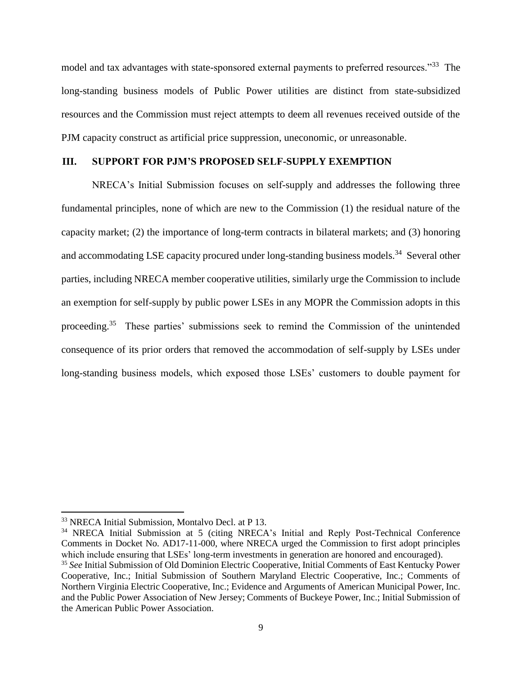model and tax advantages with state-sponsored external payments to preferred resources."<sup>33</sup> The long-standing business models of Public Power utilities are distinct from state-subsidized resources and the Commission must reject attempts to deem all revenues received outside of the PJM capacity construct as artificial price suppression, uneconomic, or unreasonable.

## **III. SUPPORT FOR PJM'S PROPOSED SELF-SUPPLY EXEMPTION**

NRECA's Initial Submission focuses on self-supply and addresses the following three fundamental principles, none of which are new to the Commission (1) the residual nature of the capacity market; (2) the importance of long-term contracts in bilateral markets; and (3) honoring and accommodating LSE capacity procured under long-standing business models.<sup>34</sup> Several other parties, including NRECA member cooperative utilities, similarly urge the Commission to include an exemption for self-supply by public power LSEs in any MOPR the Commission adopts in this proceeding.<sup>35</sup> These parties' submissions seek to remind the Commission of the unintended consequence of its prior orders that removed the accommodation of self-supply by LSEs under long-standing business models, which exposed those LSEs' customers to double payment for

<sup>33</sup> NRECA Initial Submission, Montalvo Decl. at P 13.

<sup>34</sup> NRECA Initial Submission at 5 (citing NRECA's Initial and Reply Post-Technical Conference Comments in Docket No. AD17-11-000, where NRECA urged the Commission to first adopt principles which include ensuring that LSEs' long-term investments in generation are honored and encouraged).

<sup>35</sup> *See* Initial Submission of Old Dominion Electric Cooperative, Initial Comments of East Kentucky Power Cooperative, Inc.; Initial Submission of Southern Maryland Electric Cooperative, Inc.; Comments of Northern Virginia Electric Cooperative, Inc.; Evidence and Arguments of American Municipal Power, Inc. and the Public Power Association of New Jersey; Comments of Buckeye Power, Inc.; Initial Submission of the American Public Power Association.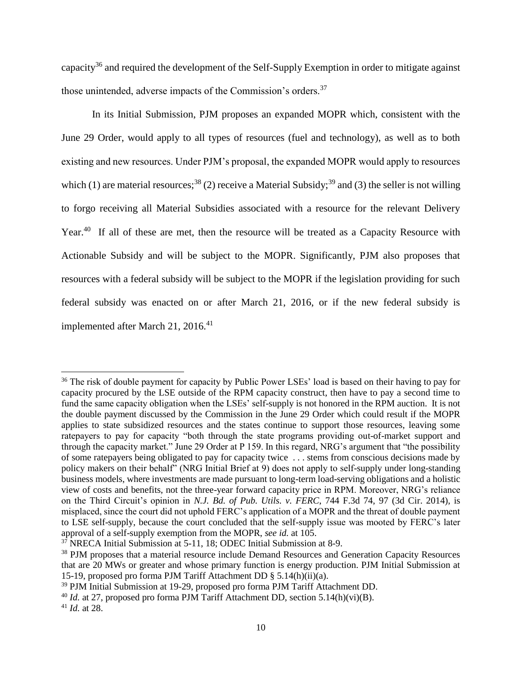capacity<sup>36</sup> and required the development of the Self-Supply Exemption in order to mitigate against those unintended, adverse impacts of the Commission's orders.<sup>37</sup>

In its Initial Submission, PJM proposes an expanded MOPR which, consistent with the June 29 Order, would apply to all types of resources (fuel and technology), as well as to both existing and new resources. Under PJM's proposal, the expanded MOPR would apply to resources which (1) are material resources;<sup>38</sup> (2) receive a Material Subsidy;<sup>39</sup> and (3) the seller is not willing to forgo receiving all Material Subsidies associated with a resource for the relevant Delivery Year.<sup>40</sup> If all of these are met, then the resource will be treated as a Capacity Resource with Actionable Subsidy and will be subject to the MOPR. Significantly, PJM also proposes that resources with a federal subsidy will be subject to the MOPR if the legislation providing for such federal subsidy was enacted on or after March 21, 2016, or if the new federal subsidy is implemented after March 21, 2016.<sup>41</sup>

<sup>&</sup>lt;sup>36</sup> The risk of double payment for capacity by Public Power LSEs' load is based on their having to pay for capacity procured by the LSE outside of the RPM capacity construct, then have to pay a second time to fund the same capacity obligation when the LSEs' self-supply is not honored in the RPM auction. It is not the double payment discussed by the Commission in the June 29 Order which could result if the MOPR applies to state subsidized resources and the states continue to support those resources, leaving some ratepayers to pay for capacity "both through the state programs providing out-of-market support and through the capacity market." June 29 Order at P 159. In this regard, NRG's argument that "the possibility of some ratepayers being obligated to pay for capacity twice . . . stems from conscious decisions made by policy makers on their behalf" (NRG Initial Brief at 9) does not apply to self-supply under long-standing business models, where investments are made pursuant to long-term load-serving obligations and a holistic view of costs and benefits, not the three-year forward capacity price in RPM. Moreover, NRG's reliance on the Third Circuit's opinion in *N.J. Bd. of Pub. Utils. v. FERC*, 744 F.3d 74, 97 (3d Cir. 2014), is misplaced, since the court did not uphold FERC's application of a MOPR and the threat of double payment to LSE self-supply, because the court concluded that the self-supply issue was mooted by FERC's later approval of a self-supply exemption from the MOPR, *see id.* at 105.

<sup>37</sup> NRECA Initial Submission at 5-11, 18; ODEC Initial Submission at 8-9.

<sup>&</sup>lt;sup>38</sup> PJM proposes that a material resource include Demand Resources and Generation Capacity Resources that are 20 MWs or greater and whose primary function is energy production. PJM Initial Submission at 15-19, proposed pro forma PJM Tariff Attachment DD § 5.14(h)(ii)(a).

<sup>&</sup>lt;sup>39</sup> PJM Initial Submission at 19-29, proposed pro forma PJM Tariff Attachment DD.

<sup>40</sup> *Id.* at 27, proposed pro forma PJM Tariff Attachment DD, section 5.14(h)(vi)(B).

<sup>41</sup> *Id.* at 28.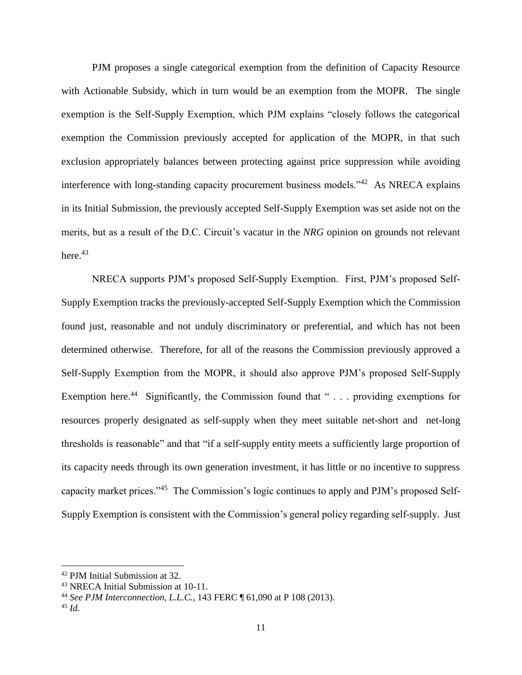PJM proposes a single categorical exemption from the definition of Capacity Resource with Actionable Subsidy, which in turn would be an exemption from the MOPR. The single exemption is the Self-Supply Exemption, which PJM explains "closely follows the categorical exemption the Commission previously accepted for application of the MOPR, in that such exclusion appropriately balances between protecting against price suppression while avoiding interference with long-standing capacity procurement business models."<sup>42</sup> As NRECA explains in its Initial Submission, the previously accepted Self-Supply Exemption was set aside not on the merits, but as a result of the D.C. Circuit's vacatur in the *NRG* opinion on grounds not relevant here. $43$ 

NRECA supports PJM's proposed Self-Supply Exemption. First, PJM's proposed Self-Supply Exemption tracks the previously-accepted Self-Supply Exemption which the Commission found just, reasonable and not unduly discriminatory or preferential, and which has not been determined otherwise. Therefore, for all of the reasons the Commission previously approved a Self-Supply Exemption from the MOPR, it should also approve PJM's proposed Self-Supply Exemption here.<sup>44</sup> Significantly, the Commission found that "... providing exemptions for resources properly designated as self-supply when they meet suitable net-short and net-long thresholds is reasonable" and that "if a self-supply entity meets a sufficiently large proportion of its capacity needs through its own generation investment, it has little or no incentive to suppress capacity market prices."<sup>45</sup> The Commission's logic continues to apply and PJM's proposed Self-Supply Exemption is consistent with the Commission's general policy regarding self-supply. Just

<sup>42</sup> PJM Initial Submission at 32.

<sup>43</sup> NRECA Initial Submission at 10-11.

<sup>44</sup> *See PJM Interconnection, L.L.C.*, 143 FERC ¶ 61,090 at P 108 (2013).

<sup>45</sup> *Id.*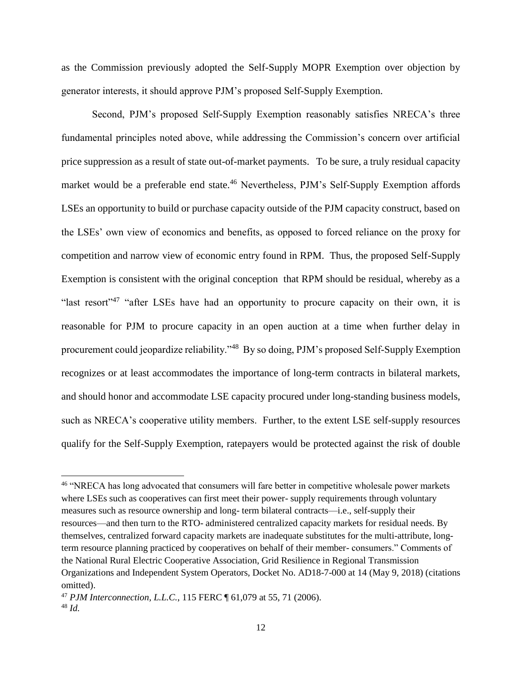as the Commission previously adopted the Self-Supply MOPR Exemption over objection by generator interests, it should approve PJM's proposed Self-Supply Exemption.

Second, PJM's proposed Self-Supply Exemption reasonably satisfies NRECA's three fundamental principles noted above, while addressing the Commission's concern over artificial price suppression as a result of state out-of-market payments. To be sure, a truly residual capacity market would be a preferable end state.<sup>46</sup> Nevertheless, PJM's Self-Supply Exemption affords LSEs an opportunity to build or purchase capacity outside of the PJM capacity construct, based on the LSEs' own view of economics and benefits, as opposed to forced reliance on the proxy for competition and narrow view of economic entry found in RPM. Thus, the proposed Self-Supply Exemption is consistent with the original conception that RPM should be residual, whereby as a "last resort"<sup>47</sup> "after LSEs have had an opportunity to procure capacity on their own, it is reasonable for PJM to procure capacity in an open auction at a time when further delay in procurement could jeopardize reliability."<sup>48</sup> By so doing, PJM's proposed Self-Supply Exemption recognizes or at least accommodates the importance of long-term contracts in bilateral markets, and should honor and accommodate LSE capacity procured under long-standing business models, such as NRECA's cooperative utility members. Further, to the extent LSE self-supply resources qualify for the Self-Supply Exemption, ratepayers would be protected against the risk of double

<sup>&</sup>lt;sup>46</sup> "NRECA has long advocated that consumers will fare better in competitive wholesale power markets where LSEs such as cooperatives can first meet their power- supply requirements through voluntary measures such as resource ownership and long- term bilateral contracts—i.e., self-supply their resources—and then turn to the RTO- administered centralized capacity markets for residual needs. By themselves, centralized forward capacity markets are inadequate substitutes for the multi-attribute, longterm resource planning practiced by cooperatives on behalf of their member- consumers." Comments of the National Rural Electric Cooperative Association, Grid Resilience in Regional Transmission Organizations and Independent System Operators, Docket No. AD18-7-000 at 14 (May 9, 2018) (citations omitted).

<sup>47</sup> *PJM Interconnection, L.L.C.*, 115 FERC ¶ 61,079 at 55, 71 (2006). <sup>48</sup> *Id.*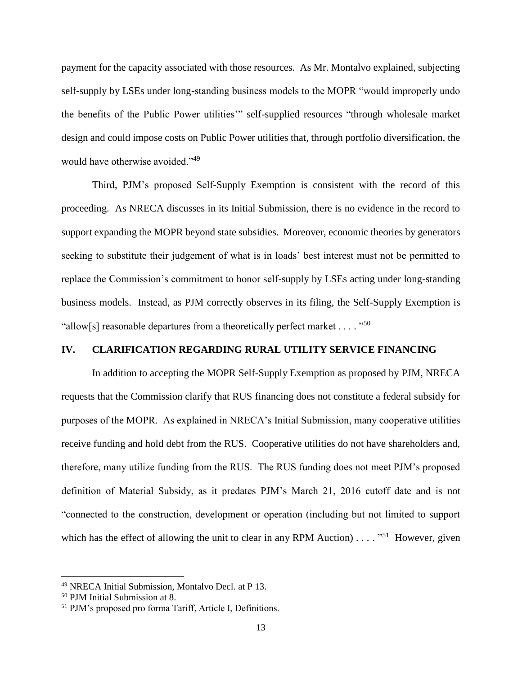payment for the capacity associated with those resources. As Mr. Montalvo explained, subjecting self-supply by LSEs under long-standing business models to the MOPR "would improperly undo the benefits of the Public Power utilities'" self-supplied resources "through wholesale market design and could impose costs on Public Power utilities that, through portfolio diversification, the would have otherwise avoided."<sup>49</sup>

Third, PJM's proposed Self-Supply Exemption is consistent with the record of this proceeding. As NRECA discusses in its Initial Submission, there is no evidence in the record to support expanding the MOPR beyond state subsidies. Moreover, economic theories by generators seeking to substitute their judgement of what is in loads' best interest must not be permitted to replace the Commission's commitment to honor self-supply by LSEs acting under long-standing business models. Instead, as PJM correctly observes in its filing, the Self-Supply Exemption is "allow[s] reasonable departures from a theoretically perfect market . . . . "<sup>50</sup>

#### **IV. CLARIFICATION REGARDING RURAL UTILITY SERVICE FINANCING**

In addition to accepting the MOPR Self-Supply Exemption as proposed by PJM, NRECA requests that the Commission clarify that RUS financing does not constitute a federal subsidy for purposes of the MOPR. As explained in NRECA's Initial Submission, many cooperative utilities receive funding and hold debt from the RUS. Cooperative utilities do not have shareholders and, therefore, many utilize funding from the RUS. The RUS funding does not meet PJM's proposed definition of Material Subsidy, as it predates PJM's March 21, 2016 cutoff date and is not "connected to the construction, development or operation (including but not limited to support which has the effect of allowing the unit to clear in any RPM Auction)  $\dots$  . "<sup>51</sup> However, given

<sup>49</sup> NRECA Initial Submission, Montalvo Decl. at P 13.

<sup>50</sup> PJM Initial Submission at 8.

<sup>51</sup> PJM's proposed pro forma Tariff, Article I, Definitions.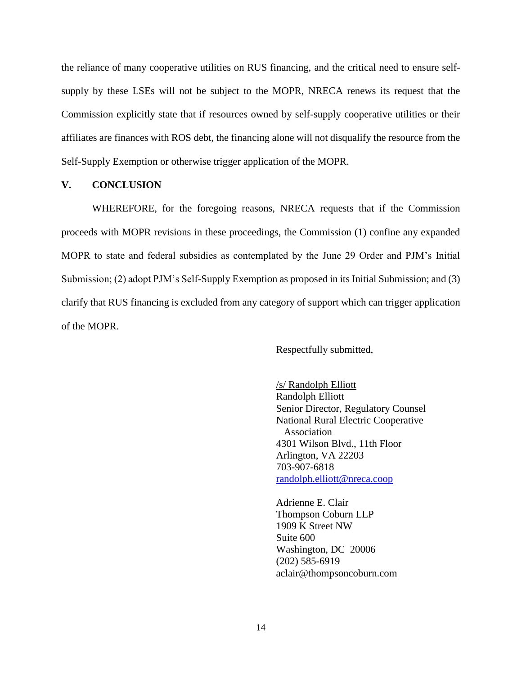the reliance of many cooperative utilities on RUS financing, and the critical need to ensure selfsupply by these LSEs will not be subject to the MOPR, NRECA renews its request that the Commission explicitly state that if resources owned by self-supply cooperative utilities or their affiliates are finances with ROS debt, the financing alone will not disqualify the resource from the Self-Supply Exemption or otherwise trigger application of the MOPR.

## **V. CONCLUSION**

WHEREFORE, for the foregoing reasons, NRECA requests that if the Commission proceeds with MOPR revisions in these proceedings, the Commission (1) confine any expanded MOPR to state and federal subsidies as contemplated by the June 29 Order and PJM's Initial Submission; (2) adopt PJM's Self-Supply Exemption as proposed in its Initial Submission; and (3) clarify that RUS financing is excluded from any category of support which can trigger application of the MOPR.

Respectfully submitted,

/s/ Randolph Elliott Randolph Elliott Senior Director, Regulatory Counsel National Rural Electric Cooperative Association 4301 Wilson Blvd., 11th Floor Arlington, VA 22203 703-907-6818 [randolph.elliott@nreca.coop](mailto:randolph.elliott@nreca.coop)

Adrienne E. Clair Thompson Coburn LLP 1909 K Street NW Suite 600 Washington, DC 20006 (202) 585-6919 aclair@thompsoncoburn.com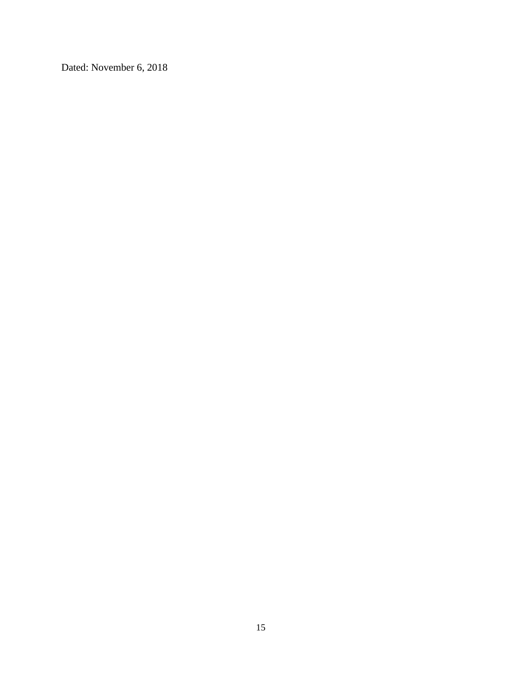Dated: November 6, 2018